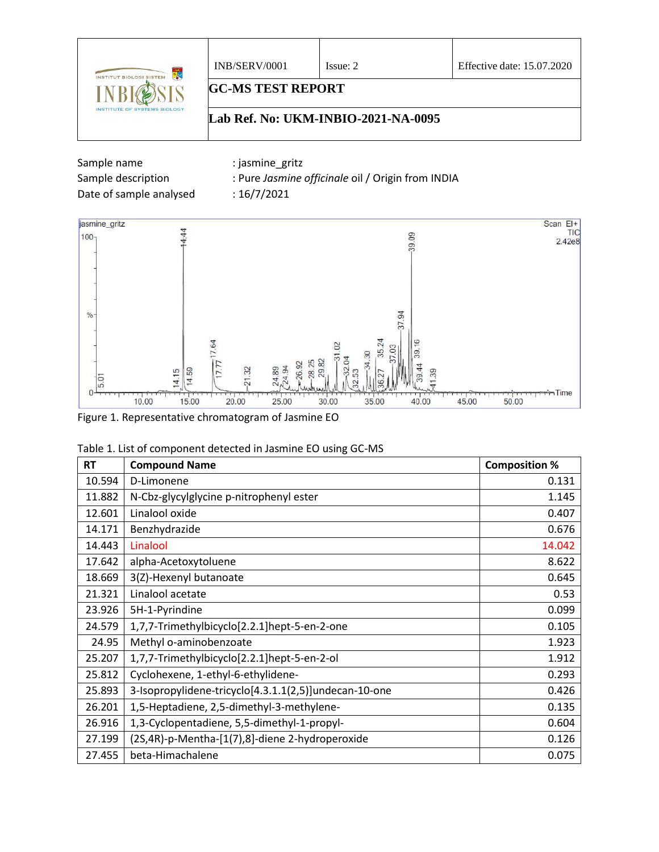

| Sample name             | iasmine gritz:                                    |
|-------------------------|---------------------------------------------------|
| Sample description      | : Pure Jasmine officinale oil / Origin from INDIA |
| Date of sample analysed | : $16/7/2021$                                     |



Figure 1. Representative chromatogram of Jasmine EO

| Table 1. List of component detected in Jasmine EO using GC-MS |  |  |
|---------------------------------------------------------------|--|--|
|---------------------------------------------------------------|--|--|

| <b>RT</b> | <b>Compound Name</b>                                  | <b>Composition %</b> |
|-----------|-------------------------------------------------------|----------------------|
| 10.594    | D-Limonene                                            | 0.131                |
| 11.882    | N-Cbz-glycylglycine p-nitrophenyl ester               | 1.145                |
| 12.601    | Linalool oxide                                        | 0.407                |
| 14.171    | Benzhydrazide                                         | 0.676                |
| 14.443    | Linalool                                              | 14.042               |
| 17.642    | alpha-Acetoxytoluene                                  | 8.622                |
| 18.669    | 3(Z)-Hexenyl butanoate                                | 0.645                |
| 21.321    | Linalool acetate                                      | 0.53                 |
| 23.926    | 5H-1-Pyrindine                                        | 0.099                |
| 24.579    | 1,7,7-Trimethylbicyclo[2.2.1]hept-5-en-2-one          | 0.105                |
| 24.95     | Methyl o-aminobenzoate                                | 1.923                |
| 25.207    | 1,7,7-Trimethylbicyclo[2.2.1]hept-5-en-2-ol           | 1.912                |
| 25.812    | Cyclohexene, 1-ethyl-6-ethylidene-                    | 0.293                |
| 25.893    | 3-Isopropylidene-tricyclo[4.3.1.1(2,5)]undecan-10-one | 0.426                |
| 26.201    | 1,5-Heptadiene, 2,5-dimethyl-3-methylene-             | 0.135                |
| 26.916    | 1,3-Cyclopentadiene, 5,5-dimethyl-1-propyl-           | 0.604                |
| 27.199    | (2S,4R)-p-Mentha-[1(7),8]-diene 2-hydroperoxide       | 0.126                |
| 27.455    | beta-Himachalene                                      | 0.075                |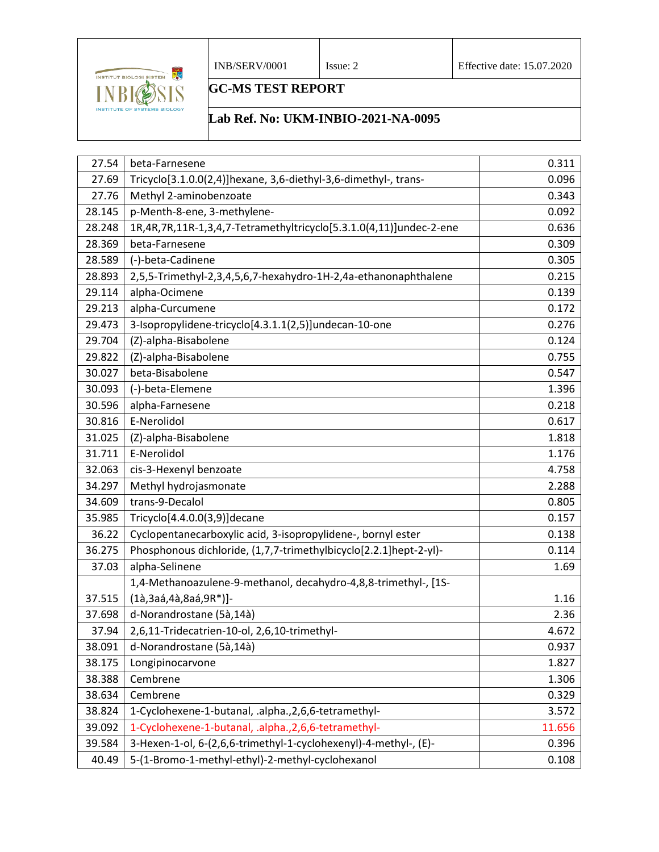

## **GC-MS TEST REPORT**

## **Lab Ref. No: UKM-INBIO-2021-NA-0095**

| 27.54  | beta-Farnesene                                                     | 0.311  |
|--------|--------------------------------------------------------------------|--------|
| 27.69  | Tricyclo[3.1.0.0(2,4)]hexane, 3,6-diethyl-3,6-dimethyl-, trans-    | 0.096  |
| 27.76  | Methyl 2-aminobenzoate                                             | 0.343  |
| 28.145 | p-Menth-8-ene, 3-methylene-                                        | 0.092  |
| 28.248 | 1R,4R,7R,11R-1,3,4,7-Tetramethyltricyclo[5.3.1.0(4,11)]undec-2-ene | 0.636  |
| 28.369 | beta-Farnesene                                                     | 0.309  |
| 28.589 | (-)-beta-Cadinene                                                  | 0.305  |
| 28.893 | 2,5,5-Trimethyl-2,3,4,5,6,7-hexahydro-1H-2,4a-ethanonaphthalene    | 0.215  |
| 29.114 | alpha-Ocimene                                                      | 0.139  |
| 29.213 | alpha-Curcumene                                                    | 0.172  |
| 29.473 | 3-Isopropylidene-tricyclo[4.3.1.1(2,5)]undecan-10-one              | 0.276  |
| 29.704 | (Z)-alpha-Bisabolene                                               | 0.124  |
| 29.822 | (Z)-alpha-Bisabolene                                               | 0.755  |
| 30.027 | beta-Bisabolene                                                    | 0.547  |
| 30.093 | (-)-beta-Elemene                                                   | 1.396  |
| 30.596 | alpha-Farnesene                                                    | 0.218  |
| 30.816 | E-Nerolidol                                                        | 0.617  |
| 31.025 | (Z)-alpha-Bisabolene                                               | 1.818  |
| 31.711 | E-Nerolidol                                                        | 1.176  |
| 32.063 | cis-3-Hexenyl benzoate                                             | 4.758  |
| 34.297 | Methyl hydrojasmonate                                              | 2.288  |
| 34.609 | trans-9-Decalol                                                    | 0.805  |
| 35.985 | Tricyclo[4.4.0.0(3,9)]decane                                       | 0.157  |
| 36.22  | Cyclopentanecarboxylic acid, 3-isopropylidene-, bornyl ester       | 0.138  |
| 36.275 | Phosphonous dichloride, (1,7,7-trimethylbicyclo[2.2.1]hept-2-yl)-  | 0.114  |
| 37.03  | alpha-Selinene                                                     | 1.69   |
|        | 1,4-Methanoazulene-9-methanol, decahydro-4,8,8-trimethyl-, [1S-    |        |
| 37.515 | (1à,3aá,4à,8aá,9R*)]-                                              | 1.16   |
| 37.698 | d-Norandrostane (5à,14à)                                           | 2.36   |
| 37.94  | 2,6,11-Tridecatrien-10-ol, 2,6,10-trimethyl-                       | 4.672  |
| 38.091 | d-Norandrostane (5à,14à)                                           | 0.937  |
| 38.175 | Longipinocarvone                                                   | 1.827  |
| 38.388 | Cembrene                                                           | 1.306  |
| 38.634 | Cembrene                                                           | 0.329  |
| 38.824 | 1-Cyclohexene-1-butanal, .alpha., 2, 6, 6-tetramethyl-             | 3.572  |
| 39.092 | 1-Cyclohexene-1-butanal, .alpha., 2, 6, 6-tetramethyl-             | 11.656 |
| 39.584 | 3-Hexen-1-ol, 6-(2,6,6-trimethyl-1-cyclohexenyl)-4-methyl-, (E)-   | 0.396  |
| 40.49  | 5-(1-Bromo-1-methyl-ethyl)-2-methyl-cyclohexanol                   | 0.108  |